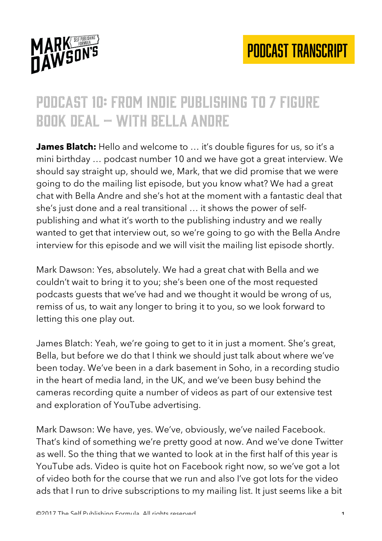

#### Podcast 10: from indie publishing to 7 figure book deal – with bella andre

**James Blatch:** Hello and welcome to … it's double figures for us, so it's a mini birthday … podcast number 10 and we have got a great interview. We should say straight up, should we, Mark, that we did promise that we were going to do the mailing list episode, but you know what? We had a great chat with Bella Andre and she's hot at the moment with a fantastic deal that she's just done and a real transitional … it shows the power of selfpublishing and what it's worth to the publishing industry and we really wanted to get that interview out, so we're going to go with the Bella Andre interview for this episode and we will visit the mailing list episode shortly.

Mark Dawson: Yes, absolutely. We had a great chat with Bella and we couldn't wait to bring it to you; she's been one of the most requested podcasts guests that we've had and we thought it would be wrong of us, remiss of us, to wait any longer to bring it to you, so we look forward to letting this one play out.

James Blatch: Yeah, we're going to get to it in just a moment. She's great, Bella, but before we do that I think we should just talk about where we've been today. We've been in a dark basement in Soho, in a recording studio in the heart of media land, in the UK, and we've been busy behind the cameras recording quite a number of videos as part of our extensive test and exploration of YouTube advertising.

Mark Dawson: We have, yes. We've, obviously, we've nailed Facebook. That's kind of something we're pretty good at now. And we've done Twitter as well. So the thing that we wanted to look at in the first half of this year is YouTube ads. Video is quite hot on Facebook right now, so we've got a lot of video both for the course that we run and also I've got lots for the video ads that I run to drive subscriptions to my mailing list. It just seems like a bit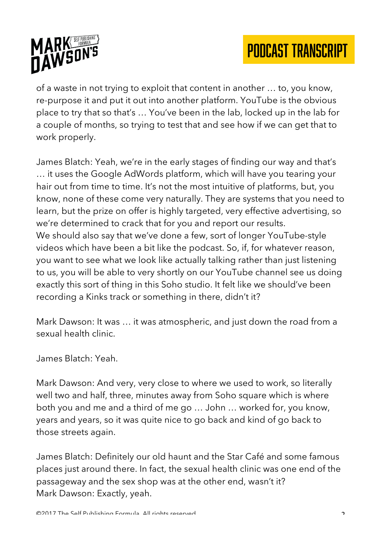

of a waste in not trying to exploit that content in another … to, you know, re-purpose it and put it out into another platform. YouTube is the obvious place to try that so that's … You've been in the lab, locked up in the lab for a couple of months, so trying to test that and see how if we can get that to work properly.

James Blatch: Yeah, we're in the early stages of finding our way and that's … it uses the Google AdWords platform, which will have you tearing your hair out from time to time. It's not the most intuitive of platforms, but, you know, none of these come very naturally. They are systems that you need to learn, but the prize on offer is highly targeted, very effective advertising, so we're determined to crack that for you and report our results. We should also say that we've done a few, sort of longer YouTube-style videos which have been a bit like the podcast. So, if, for whatever reason, you want to see what we look like actually talking rather than just listening to us, you will be able to very shortly on our YouTube channel see us doing exactly this sort of thing in this Soho studio. It felt like we should've been recording a Kinks track or something in there, didn't it?

Mark Dawson: It was … it was atmospheric, and just down the road from a sexual health clinic.

James Blatch: Yeah.

Mark Dawson: And very, very close to where we used to work, so literally well two and half, three, minutes away from Soho square which is where both you and me and a third of me go … John … worked for, you know, years and years, so it was quite nice to go back and kind of go back to those streets again.

James Blatch: Definitely our old haunt and the Star Café and some famous places just around there. In fact, the sexual health clinic was one end of the passageway and the sex shop was at the other end, wasn't it? Mark Dawson: Exactly, yeah.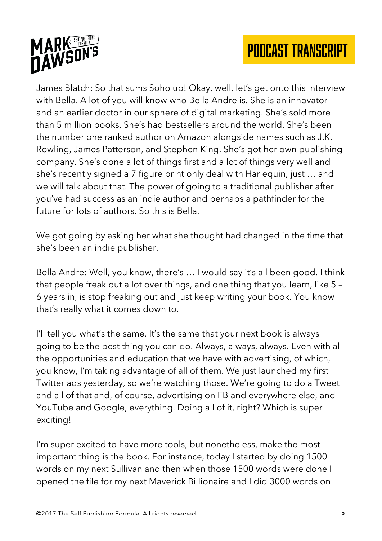



James Blatch: So that sums Soho up! Okay, well, let's get onto this interview with Bella. A lot of you will know who Bella Andre is. She is an innovator and an earlier doctor in our sphere of digital marketing. She's sold more than 5 million books. She's had bestsellers around the world. She's been the number one ranked author on Amazon alongside names such as J.K. Rowling, James Patterson, and Stephen King. She's got her own publishing company. She's done a lot of things first and a lot of things very well and she's recently signed a 7 figure print only deal with Harlequin, just … and we will talk about that. The power of going to a traditional publisher after you've had success as an indie author and perhaps a pathfinder for the future for lots of authors. So this is Bella.

We got going by asking her what she thought had changed in the time that she's been an indie publisher.

Bella Andre: Well, you know, there's … I would say it's all been good. I think that people freak out a lot over things, and one thing that you learn, like 5 – 6 years in, is stop freaking out and just keep writing your book. You know that's really what it comes down to.

I'll tell you what's the same. It's the same that your next book is always going to be the best thing you can do. Always, always, always. Even with all the opportunities and education that we have with advertising, of which, you know, I'm taking advantage of all of them. We just launched my first Twitter ads yesterday, so we're watching those. We're going to do a Tweet and all of that and, of course, advertising on FB and everywhere else, and YouTube and Google, everything. Doing all of it, right? Which is super exciting!

I'm super excited to have more tools, but nonetheless, make the most important thing is the book. For instance, today I started by doing 1500 words on my next Sullivan and then when those 1500 words were done I opened the file for my next Maverick Billionaire and I did 3000 words on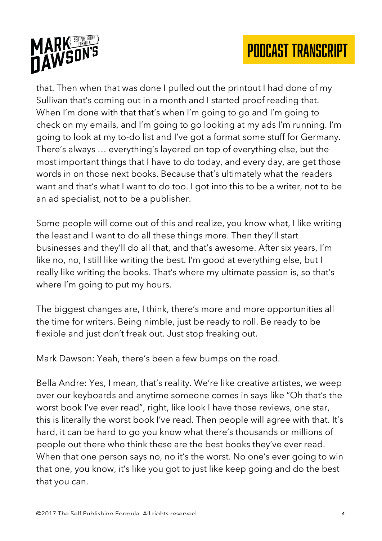



that. Then when that was done I pulled out the printout I had done of my Sullivan that's coming out in a month and I started proof reading that. When I'm done with that that's when I'm going to go and I'm going to check on my emails, and I'm going to go looking at my ads I'm running. I'm going to look at my to-do list and I've got a format some stuff for Germany. There's always … everything's layered on top of everything else, but the most important things that I have to do today, and every day, are get those words in on those next books. Because that's ultimately what the readers want and that's what I want to do too. I got into this to be a writer, not to be an ad specialist, not to be a publisher.

Some people will come out of this and realize, you know what, I like writing the least and I want to do all these things more. Then they'll start businesses and they'll do all that, and that's awesome. After six years, I'm like no, no, I still like writing the best. I'm good at everything else, but I really like writing the books. That's where my ultimate passion is, so that's where I'm going to put my hours.

The biggest changes are, I think, there's more and more opportunities all the time for writers. Being nimble, just be ready to roll. Be ready to be flexible and just don't freak out. Just stop freaking out.

Mark Dawson: Yeah, there's been a few bumps on the road.

Bella Andre: Yes, I mean, that's reality. We're like creative artistes, we weep over our keyboards and anytime someone comes in says like "Oh that's the worst book I've ever read", right, like look I have those reviews, one star, this is literally the worst book I've read. Then people will agree with that. It's hard, it can be hard to go you know what there's thousands or millions of people out there who think these are the best books they've ever read. When that one person says no, no it's the worst. No one's ever going to win that one, you know, it's like you got to just like keep going and do the best that you can.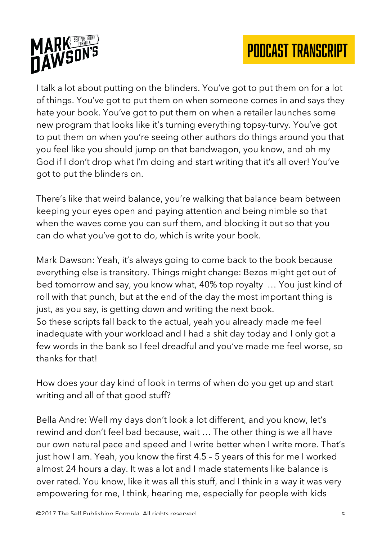

I talk a lot about putting on the blinders. You've got to put them on for a lot of things. You've got to put them on when someone comes in and says they hate your book. You've got to put them on when a retailer launches some new program that looks like it's turning everything topsy-turvy. You've got to put them on when you're seeing other authors do things around you that you feel like you should jump on that bandwagon, you know, and oh my God if I don't drop what I'm doing and start writing that it's all over! You've got to put the blinders on.

There's like that weird balance, you're walking that balance beam between keeping your eyes open and paying attention and being nimble so that when the waves come you can surf them, and blocking it out so that you can do what you've got to do, which is write your book.

Mark Dawson: Yeah, it's always going to come back to the book because everything else is transitory. Things might change: Bezos might get out of bed tomorrow and say, you know what, 40% top royalty … You just kind of roll with that punch, but at the end of the day the most important thing is just, as you say, is getting down and writing the next book. So these scripts fall back to the actual, yeah you already made me feel inadequate with your workload and I had a shit day today and I only got a few words in the bank so I feel dreadful and you've made me feel worse, so thanks for that!

How does your day kind of look in terms of when do you get up and start writing and all of that good stuff?

Bella Andre: Well my days don't look a lot different, and you know, let's rewind and don't feel bad because, wait … The other thing is we all have our own natural pace and speed and I write better when I write more. That's just how I am. Yeah, you know the first 4.5 – 5 years of this for me I worked almost 24 hours a day. It was a lot and I made statements like balance is over rated. You know, like it was all this stuff, and I think in a way it was very empowering for me, I think, hearing me, especially for people with kids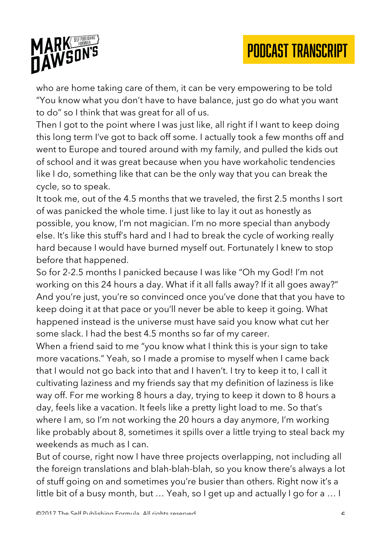

who are home taking care of them, it can be very empowering to be told "You know what you don't have to have balance, just go do what you want to do" so I think that was great for all of us.

Then I got to the point where I was just like, all right if I want to keep doing this long term I've got to back off some. I actually took a few months off and went to Europe and toured around with my family, and pulled the kids out of school and it was great because when you have workaholic tendencies like I do, something like that can be the only way that you can break the cycle, so to speak.

It took me, out of the 4.5 months that we traveled, the first 2.5 months I sort of was panicked the whole time. I just like to lay it out as honestly as possible, you know, I'm not magician. I'm no more special than anybody else. It's like this stuff's hard and I had to break the cycle of working really hard because I would have burned myself out. Fortunately I knew to stop before that happened.

So for 2-2.5 months I panicked because I was like "Oh my God! I'm not working on this 24 hours a day. What if it all falls away? If it all goes away?" And you're just, you're so convinced once you've done that that you have to keep doing it at that pace or you'll never be able to keep it going. What happened instead is the universe must have said you know what cut her some slack. I had the best 4.5 months so far of my career.

When a friend said to me "you know what I think this is your sign to take more vacations." Yeah, so I made a promise to myself when I came back that I would not go back into that and I haven't. I try to keep it to, I call it cultivating laziness and my friends say that my definition of laziness is like way off. For me working 8 hours a day, trying to keep it down to 8 hours a day, feels like a vacation. It feels like a pretty light load to me. So that's where I am, so I'm not working the 20 hours a day anymore, I'm working like probably about 8, sometimes it spills over a little trying to steal back my weekends as much as I can.

But of course, right now I have three projects overlapping, not including all the foreign translations and blah-blah-blah, so you know there's always a lot of stuff going on and sometimes you're busier than others. Right now it's a little bit of a busy month, but … Yeah, so I get up and actually I go for a … I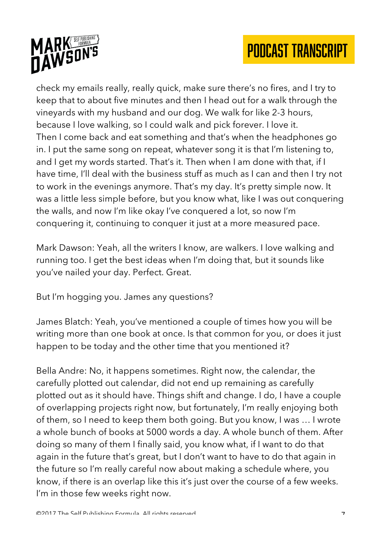

check my emails really, really quick, make sure there's no fires, and I try to keep that to about five minutes and then I head out for a walk through the vineyards with my husband and our dog. We walk for like 2-3 hours, because I love walking, so I could walk and pick forever. I love it. Then I come back and eat something and that's when the headphones go in. I put the same song on repeat, whatever song it is that I'm listening to, and I get my words started. That's it. Then when I am done with that, if I have time, I'll deal with the business stuff as much as I can and then I try not to work in the evenings anymore. That's my day. It's pretty simple now. It was a little less simple before, but you know what, like I was out conquering the walls, and now I'm like okay I've conquered a lot, so now I'm conquering it, continuing to conquer it just at a more measured pace.

Mark Dawson: Yeah, all the writers I know, are walkers. I love walking and running too. I get the best ideas when I'm doing that, but it sounds like you've nailed your day. Perfect. Great.

But I'm hogging you. James any questions?

James Blatch: Yeah, you've mentioned a couple of times how you will be writing more than one book at once. Is that common for you, or does it just happen to be today and the other time that you mentioned it?

Bella Andre: No, it happens sometimes. Right now, the calendar, the carefully plotted out calendar, did not end up remaining as carefully plotted out as it should have. Things shift and change. I do, I have a couple of overlapping projects right now, but fortunately, I'm really enjoying both of them, so I need to keep them both going. But you know, I was … I wrote a whole bunch of books at 5000 words a day. A whole bunch of them. After doing so many of them I finally said, you know what, if I want to do that again in the future that's great, but I don't want to have to do that again in the future so I'm really careful now about making a schedule where, you know, if there is an overlap like this it's just over the course of a few weeks. I'm in those few weeks right now.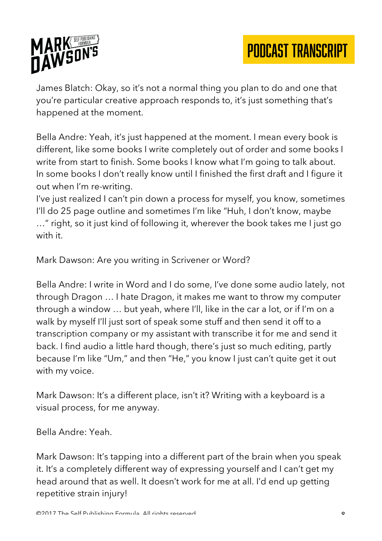

James Blatch: Okay, so it's not a normal thing you plan to do and one that you're particular creative approach responds to, it's just something that's happened at the moment.

Bella Andre: Yeah, it's just happened at the moment. I mean every book is different, like some books I write completely out of order and some books I write from start to finish. Some books I know what I'm going to talk about. In some books I don't really know until I finished the first draft and I figure it out when I'm re-writing.

I've just realized I can't pin down a process for myself, you know, sometimes I'll do 25 page outline and sometimes I'm like "Huh, I don't know, maybe

…" right, so it just kind of following it, wherever the book takes me I just go with it.

Mark Dawson: Are you writing in Scrivener or Word?

Bella Andre: I write in Word and I do some, I've done some audio lately, not through Dragon … I hate Dragon, it makes me want to throw my computer through a window … but yeah, where I'll, like in the car a lot, or if I'm on a walk by myself I'll just sort of speak some stuff and then send it off to a transcription company or my assistant with transcribe it for me and send it back. I find audio a little hard though, there's just so much editing, partly because I'm like "Um," and then "He," you know I just can't quite get it out with my voice.

Mark Dawson: It's a different place, isn't it? Writing with a keyboard is a visual process, for me anyway.

Bella Andre: Yeah.

Mark Dawson: It's tapping into a different part of the brain when you speak it. It's a completely different way of expressing yourself and I can't get my head around that as well. It doesn't work for me at all. I'd end up getting repetitive strain injury!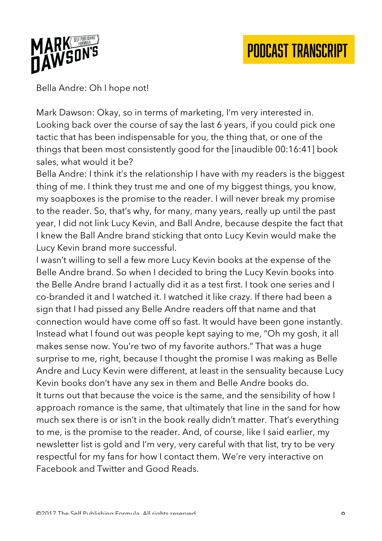

Bella Andre: Oh I hope not!

Mark Dawson: Okay, so in terms of marketing, I'm very interested in. Looking back over the course of say the last 6 years, if you could pick one tactic that has been indispensable for you, the thing that, or one of the things that been most consistently good for the [inaudible 00:16:41] book sales, what would it be?

Bella Andre: I think it's the relationship I have with my readers is the biggest thing of me. I think they trust me and one of my biggest things, you know, my soapboxes is the promise to the reader. I will never break my promise to the reader. So, that's why, for many, many years, really up until the past year, I did not link Lucy Kevin, and Ball Andre, because despite the fact that I knew the Ball Andre brand sticking that onto Lucy Kevin would make the Lucy Kevin brand more successful.

I wasn't willing to sell a few more Lucy Kevin books at the expense of the Belle Andre brand. So when I decided to bring the Lucy Kevin books into the Belle Andre brand I actually did it as a test first. I took one series and I co-branded it and I watched it. I watched it like crazy. If there had been a sign that I had pissed any Belle Andre readers off that name and that connection would have come off so fast. It would have been gone instantly. Instead what I found out was people kept saying to me, "Oh my gosh, it all makes sense now. You're two of my favorite authors." That was a huge surprise to me, right, because I thought the promise I was making as Belle Andre and Lucy Kevin were different, at least in the sensuality because Lucy Kevin books don't have any sex in them and Belle Andre books do. It turns out that because the voice is the same, and the sensibility of how I approach romance is the same, that ultimately that line in the sand for how much sex there is or isn't in the book really didn't matter. That's everything to me, is the promise to the reader. And, of course, like I said earlier, my newsletter list is gold and I'm very, very careful with that list, try to be very respectful for my fans for how I contact them. We're very interactive on Facebook and Twitter and Good Reads.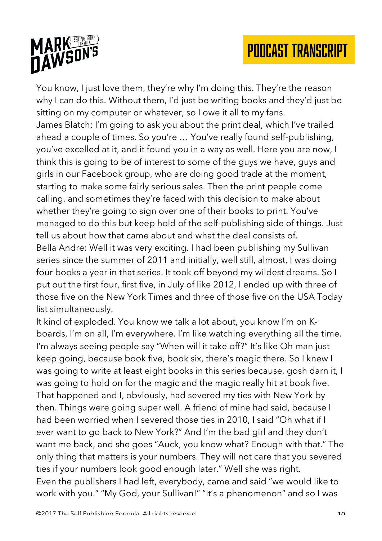

You know, I just love them, they're why I'm doing this. They're the reason why I can do this. Without them, I'd just be writing books and they'd just be sitting on my computer or whatever, so I owe it all to my fans.

James Blatch: I'm going to ask you about the print deal, which I've trailed ahead a couple of times. So you're … You've really found self-publishing, you've excelled at it, and it found you in a way as well. Here you are now, I think this is going to be of interest to some of the guys we have, guys and girls in our Facebook group, who are doing good trade at the moment, starting to make some fairly serious sales. Then the print people come calling, and sometimes they're faced with this decision to make about whether they're going to sign over one of their books to print. You've managed to do this but keep hold of the self-publishing side of things. Just tell us about how that came about and what the deal consists of. Bella Andre: Well it was very exciting. I had been publishing my Sullivan series since the summer of 2011 and initially, well still, almost, I was doing four books a year in that series. It took off beyond my wildest dreams. So I put out the first four, first five, in July of like 2012, I ended up with three of those five on the New York Times and three of those five on the USA Today list simultaneously.

It kind of exploded. You know we talk a lot about, you know I'm on Kboards, I'm on all, I'm everywhere. I'm like watching everything all the time. I'm always seeing people say "When will it take off?" It's like Oh man just keep going, because book five, book six, there's magic there. So I knew I was going to write at least eight books in this series because, gosh darn it, I was going to hold on for the magic and the magic really hit at book five. That happened and I, obviously, had severed my ties with New York by then. Things were going super well. A friend of mine had said, because I had been worried when I severed those ties in 2010, I said "Oh what if I ever want to go back to New York?" And I'm the bad girl and they don't want me back, and she goes "Auck, you know what? Enough with that." The only thing that matters is your numbers. They will not care that you severed ties if your numbers look good enough later." Well she was right. Even the publishers I had left, everybody, came and said "we would like to work with you." "My God, your Sullivan!" "It's a phenomenon" and so I was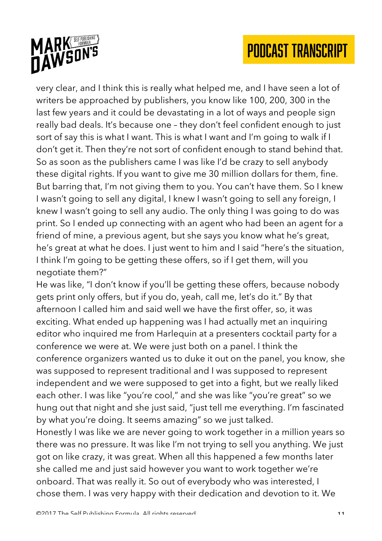

very clear, and I think this is really what helped me, and I have seen a lot of writers be approached by publishers, you know like 100, 200, 300 in the last few years and it could be devastating in a lot of ways and people sign really bad deals. It's because one – they don't feel confident enough to just sort of say this is what I want. This is what I want and I'm going to walk if I don't get it. Then they're not sort of confident enough to stand behind that. So as soon as the publishers came I was like I'd be crazy to sell anybody these digital rights. If you want to give me 30 million dollars for them, fine. But barring that, I'm not giving them to you. You can't have them. So I knew I wasn't going to sell any digital, I knew I wasn't going to sell any foreign, I knew I wasn't going to sell any audio. The only thing I was going to do was print. So I ended up connecting with an agent who had been an agent for a friend of mine, a previous agent, but she says you know what he's great, he's great at what he does. I just went to him and I said "here's the situation, I think I'm going to be getting these offers, so if I get them, will you negotiate them?"

He was like, "I don't know if you'll be getting these offers, because nobody gets print only offers, but if you do, yeah, call me, let's do it." By that afternoon I called him and said well we have the first offer, so, it was exciting. What ended up happening was I had actually met an inquiring editor who inquired me from Harlequin at a presenters cocktail party for a conference we were at. We were just both on a panel. I think the conference organizers wanted us to duke it out on the panel, you know, she was supposed to represent traditional and I was supposed to represent independent and we were supposed to get into a fight, but we really liked each other. I was like "you're cool," and she was like "you're great" so we hung out that night and she just said, "just tell me everything. I'm fascinated by what you're doing. It seems amazing" so we just talked.

Honestly I was like we are never going to work together in a million years so there was no pressure. It was like I'm not trying to sell you anything. We just got on like crazy, it was great. When all this happened a few months later she called me and just said however you want to work together we're onboard. That was really it. So out of everybody who was interested, I chose them. I was very happy with their dedication and devotion to it. We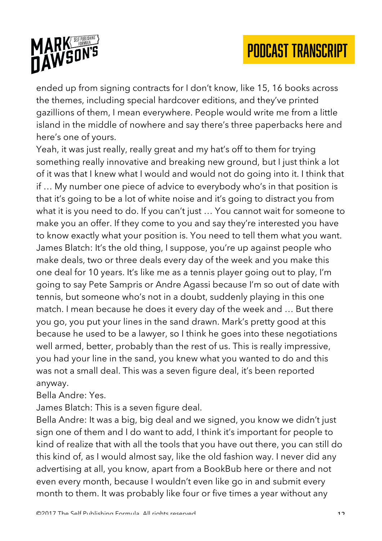

ended up from signing contracts for I don't know, like 15, 16 books across the themes, including special hardcover editions, and they've printed gazillions of them, I mean everywhere. People would write me from a little island in the middle of nowhere and say there's three paperbacks here and here's one of yours.

Yeah, it was just really, really great and my hat's off to them for trying something really innovative and breaking new ground, but I just think a lot of it was that I knew what I would and would not do going into it. I think that if … My number one piece of advice to everybody who's in that position is that it's going to be a lot of white noise and it's going to distract you from what it is you need to do. If you can't just … You cannot wait for someone to make you an offer. If they come to you and say they're interested you have to know exactly what your position is. You need to tell them what you want. James Blatch: It's the old thing, I suppose, you're up against people who make deals, two or three deals every day of the week and you make this one deal for 10 years. It's like me as a tennis player going out to play, I'm going to say Pete Sampris or Andre Agassi because I'm so out of date with tennis, but someone who's not in a doubt, suddenly playing in this one match. I mean because he does it every day of the week and … But there you go, you put your lines in the sand drawn. Mark's pretty good at this because he used to be a lawyer, so I think he goes into these negotiations well armed, better, probably than the rest of us. This is really impressive, you had your line in the sand, you knew what you wanted to do and this was not a small deal. This was a seven figure deal, it's been reported anyway.

Bella Andre: Yes.

James Blatch: This is a seven figure deal.

Bella Andre: It was a big, big deal and we signed, you know we didn't just sign one of them and I do want to add, I think it's important for people to kind of realize that with all the tools that you have out there, you can still do this kind of, as I would almost say, like the old fashion way. I never did any advertising at all, you know, apart from a BookBub here or there and not even every month, because I wouldn't even like go in and submit every month to them. It was probably like four or five times a year without any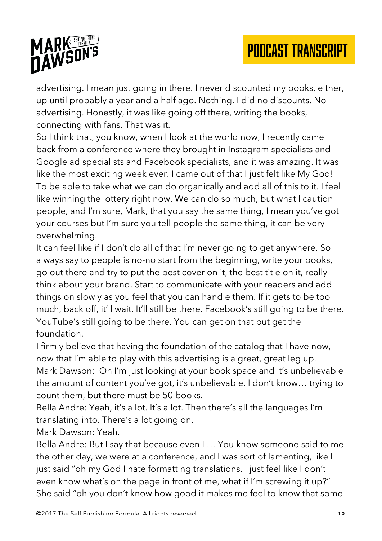

advertising. I mean just going in there. I never discounted my books, either, up until probably a year and a half ago. Nothing. I did no discounts. No advertising. Honestly, it was like going off there, writing the books, connecting with fans. That was it.

So I think that, you know, when I look at the world now, I recently came back from a conference where they brought in Instagram specialists and Google ad specialists and Facebook specialists, and it was amazing. It was like the most exciting week ever. I came out of that I just felt like My God! To be able to take what we can do organically and add all of this to it. I feel like winning the lottery right now. We can do so much, but what I caution people, and I'm sure, Mark, that you say the same thing, I mean you've got your courses but I'm sure you tell people the same thing, it can be very overwhelming.

It can feel like if I don't do all of that I'm never going to get anywhere. So I always say to people is no-no start from the beginning, write your books, go out there and try to put the best cover on it, the best title on it, really think about your brand. Start to communicate with your readers and add things on slowly as you feel that you can handle them. If it gets to be too much, back off, it'll wait. It'll still be there. Facebook's still going to be there. YouTube's still going to be there. You can get on that but get the foundation.

I firmly believe that having the foundation of the catalog that I have now, now that I'm able to play with this advertising is a great, great leg up. Mark Dawson: Oh I'm just looking at your book space and it's unbelievable the amount of content you've got, it's unbelievable. I don't know… trying to count them, but there must be 50 books.

Bella Andre: Yeah, it's a lot. It's a lot. Then there's all the languages I'm translating into. There's a lot going on.

Mark Dawson: Yeah.

Bella Andre: But I say that because even I … You know someone said to me the other day, we were at a conference, and I was sort of lamenting, like I just said "oh my God I hate formatting translations. I just feel like I don't even know what's on the page in front of me, what if I'm screwing it up?" She said "oh you don't know how good it makes me feel to know that some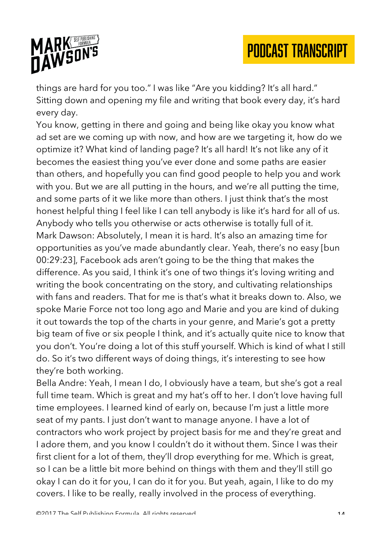

things are hard for you too." I was like "Are you kidding? It's all hard." Sitting down and opening my file and writing that book every day, it's hard every day.

You know, getting in there and going and being like okay you know what ad set are we coming up with now, and how are we targeting it, how do we optimize it? What kind of landing page? It's all hard! It's not like any of it becomes the easiest thing you've ever done and some paths are easier than others, and hopefully you can find good people to help you and work with you. But we are all putting in the hours, and we're all putting the time, and some parts of it we like more than others. I just think that's the most honest helpful thing I feel like I can tell anybody is like it's hard for all of us. Anybody who tells you otherwise or acts otherwise is totally full of it. Mark Dawson: Absolutely, I mean it is hard. It's also an amazing time for opportunities as you've made abundantly clear. Yeah, there's no easy [bun 00:29:23], Facebook ads aren't going to be the thing that makes the difference. As you said, I think it's one of two things it's loving writing and writing the book concentrating on the story, and cultivating relationships with fans and readers. That for me is that's what it breaks down to. Also, we spoke Marie Force not too long ago and Marie and you are kind of duking it out towards the top of the charts in your genre, and Marie's got a pretty big team of five or six people I think, and it's actually quite nice to know that you don't. You're doing a lot of this stuff yourself. Which is kind of what I still do. So it's two different ways of doing things, it's interesting to see how they're both working.

Bella Andre: Yeah, I mean I do, I obviously have a team, but she's got a real full time team. Which is great and my hat's off to her. I don't love having full time employees. I learned kind of early on, because I'm just a little more seat of my pants. I just don't want to manage anyone. I have a lot of contractors who work project by project basis for me and they're great and I adore them, and you know I couldn't do it without them. Since I was their first client for a lot of them, they'll drop everything for me. Which is great, so I can be a little bit more behind on things with them and they'll still go okay I can do it for you, I can do it for you. But yeah, again, I like to do my covers. I like to be really, really involved in the process of everything.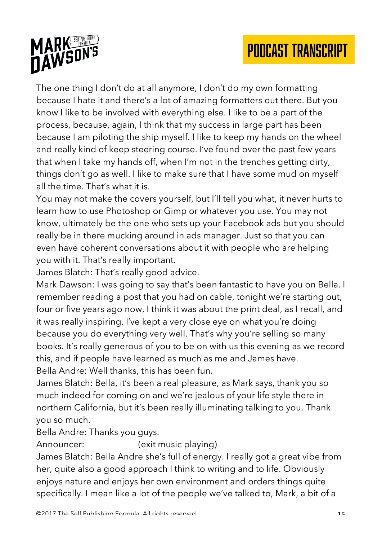

The one thing I don't do at all anymore, I don't do my own formatting because I hate it and there's a lot of amazing formatters out there. But you know I like to be involved with everything else. I like to be a part of the process, because, again, I think that my success in large part has been because I am piloting the ship myself. I like to keep my hands on the wheel and really kind of keep steering course. I've found over the past few years that when I take my hands off, when I'm not in the trenches getting dirty, things don't go as well. I like to make sure that I have some mud on myself all the time. That's what it is.

You may not make the covers yourself, but I'll tell you what, it never hurts to learn how to use Photoshop or Gimp or whatever you use. You may not know, ultimately be the one who sets up your Facebook ads but you should really be in there mucking around in ads manager. Just so that you can even have coherent conversations about it with people who are helping you with it. That's really important.

James Blatch: That's really good advice.

Mark Dawson: I was going to say that's been fantastic to have you on Bella. I remember reading a post that you had on cable, tonight we're starting out, four or five years ago now, I think it was about the print deal, as I recall, and it was really inspiring. I've kept a very close eye on what you're doing because you do everything very well. That's why you're selling so many books. It's really generous of you to be on with us this evening as we record this, and if people have learned as much as me and James have. Bella Andre: Well thanks, this has been fun.

James Blatch: Bella, it's been a real pleasure, as Mark says, thank you so much indeed for coming on and we're jealous of your life style there in northern California, but it's been really illuminating talking to you. Thank you so much.

#### Bella Andre: Thanks you guys.

Announcer: (exit music playing)

James Blatch: Bella Andre she's full of energy. I really got a great vibe from her, quite also a good approach I think to writing and to life. Obviously enjoys nature and enjoys her own environment and orders things quite specifically. I mean like a lot of the people we've talked to, Mark, a bit of a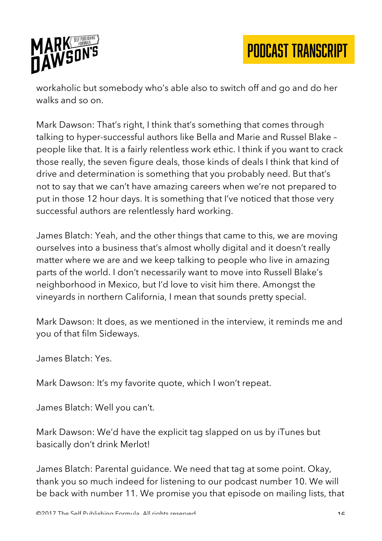

workaholic but somebody who's able also to switch off and go and do her walks and so on.

Mark Dawson: That's right, I think that's something that comes through talking to hyper-successful authors like Bella and Marie and Russel Blake – people like that. It is a fairly relentless work ethic. I think if you want to crack those really, the seven figure deals, those kinds of deals I think that kind of drive and determination is something that you probably need. But that's not to say that we can't have amazing careers when we're not prepared to put in those 12 hour days. It is something that I've noticed that those very successful authors are relentlessly hard working.

James Blatch: Yeah, and the other things that came to this, we are moving ourselves into a business that's almost wholly digital and it doesn't really matter where we are and we keep talking to people who live in amazing parts of the world. I don't necessarily want to move into Russell Blake's neighborhood in Mexico, but I'd love to visit him there. Amongst the vineyards in northern California, I mean that sounds pretty special.

Mark Dawson: It does, as we mentioned in the interview, it reminds me and you of that film Sideways.

James Blatch: Yes.

Mark Dawson: It's my favorite quote, which I won't repeat.

James Blatch: Well you can't.

Mark Dawson: We'd have the explicit tag slapped on us by iTunes but basically don't drink Merlot!

James Blatch: Parental guidance. We need that tag at some point. Okay, thank you so much indeed for listening to our podcast number 10. We will be back with number 11. We promise you that episode on mailing lists, that